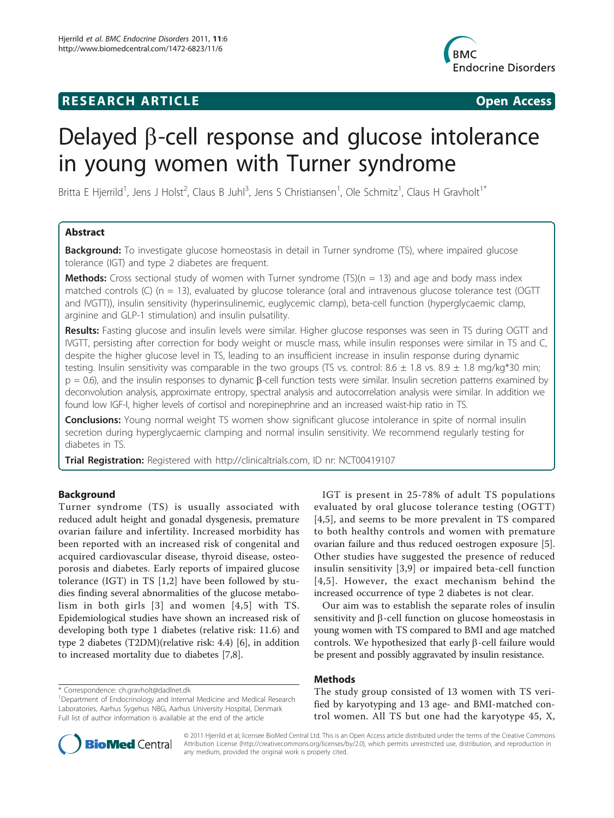## RESEARCH ARTICLE **External in the Contract Open Access**



# Delayed  $\beta$ -cell response and glucose intolerance in young women with Turner syndrome

Britta E Hjerrild<sup>1</sup>, Jens J Holst<sup>2</sup>, Claus B Juhl<sup>3</sup>, Jens S Christiansen<sup>1</sup>, Ole Schmitz<sup>1</sup>, Claus H Gravholt<sup>1\*</sup>

## Abstract

**Background:** To investigate glucose homeostasis in detail in Turner syndrome (TS), where impaired glucose tolerance (IGT) and type 2 diabetes are frequent.

**Methods:** Cross sectional study of women with Turner syndrome (TS)( $n = 13$ ) and age and body mass index matched controls (C) ( $n = 13$ ), evaluated by glucose tolerance (oral and intravenous glucose tolerance test (OGTT and IVGTT)), insulin sensitivity (hyperinsulinemic, euglycemic clamp), beta-cell function (hyperglycaemic clamp, arginine and GLP-1 stimulation) and insulin pulsatility.

Results: Fasting glucose and insulin levels were similar. Higher glucose responses was seen in TS during OGTT and IVGTT, persisting after correction for body weight or muscle mass, while insulin responses were similar in TS and C, despite the higher glucose level in TS, leading to an insufficient increase in insulin response during dynamic testing. Insulin sensitivity was comparable in the two groups (TS vs. control:  $8.6 \pm 1.8$  vs.  $8.9 \pm 1.8$  mg/kg\*30 min;  $p = 0.6$ ), and the insulin responses to dynamic  $\beta$ -cell function tests were similar. Insulin secretion patterns examined by deconvolution analysis, approximate entropy, spectral analysis and autocorrelation analysis were similar. In addition we found low IGF-I, higher levels of cortisol and norepinephrine and an increased waist-hip ratio in TS.

**Conclusions:** Young normal weight TS women show significant glucose intolerance in spite of normal insulin secretion during hyperglycaemic clamping and normal insulin sensitivity. We recommend regularly testing for diabetes in TS.

**Trial Registration:** Registered with [http://clinicaltrials.com,](http://clinicaltrials.com) ID nr: [NCT00419107](http://www.clinicaltrials.gov/ct2/show/NCT00419107)

## Background

Turner syndrome (TS) is usually associated with reduced adult height and gonadal dysgenesis, premature ovarian failure and infertility. Increased morbidity has been reported with an increased risk of congenital and acquired cardiovascular disease, thyroid disease, osteoporosis and diabetes. Early reports of impaired glucose tolerance (IGT) in TS [[1,2](#page-8-0)] have been followed by studies finding several abnormalities of the glucose metabolism in both girls [[3\]](#page-8-0) and women [[4,5\]](#page-8-0) with TS. Epidemiological studies have shown an increased risk of developing both type 1 diabetes (relative risk: 11.6) and type 2 diabetes (T2DM)(relative risk: 4.4) [[6](#page-8-0)], in addition to increased mortality due to diabetes [[7](#page-8-0),[8](#page-8-0)].

\* Correspondence: [ch.gravholt@dadlnet.dk](mailto:ch.gravholt@dadlnet.dk)

IGT is present in 25-78% of adult TS populations evaluated by oral glucose tolerance testing (OGTT) [[4,5](#page-8-0)], and seems to be more prevalent in TS compared to both healthy controls and women with premature ovarian failure and thus reduced oestrogen exposure [\[5](#page-8-0)]. Other studies have suggested the presence of reduced insulin sensitivity [[3,9\]](#page-8-0) or impaired beta-cell function [[4,5\]](#page-8-0). However, the exact mechanism behind the increased occurrence of type 2 diabetes is not clear.

Our aim was to establish the separate roles of insulin sensitivity and  $\beta$ -cell function on glucose homeostasis in young women with TS compared to BMI and age matched controls. We hypothesized that early  $\beta$ -cell failure would be present and possibly aggravated by insulin resistance.

## Methods

The study group consisted of 13 women with TS verified by karyotyping and 13 age- and BMI-matched control women. All TS but one had the karyotype 45, X,



© 2011 Hjerrild et al; licensee BioMed Central Ltd. This is an Open Access article distributed under the terms of the Creative Commons Attribution License [\(http://creativecommons.org/licenses/by/2.0](http://creativecommons.org/licenses/by/2.0)), which permits unrestricted use, distribution, and reproduction in any medium, provided the original work is properly cited.

<sup>&</sup>lt;sup>1</sup>Department of Endocrinology and Internal Medicine and Medical Research Laboratories, Aarhus Sygehus NBG, Aarhus University Hospital, Denmark Full list of author information is available at the end of the article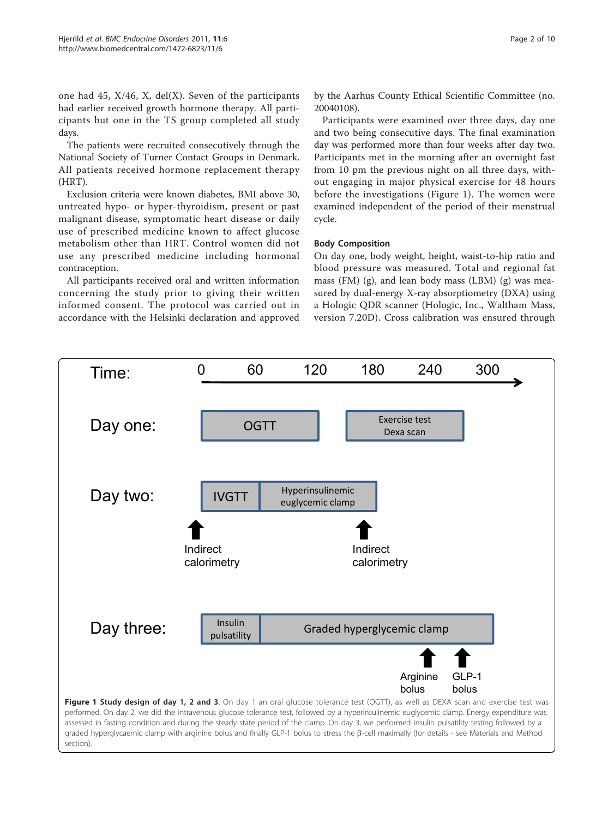one had 45,  $X/46$ ,  $X$ , del $(X)$ . Seven of the participants had earlier received growth hormone therapy. All participants but one in the TS group completed all study days.

The patients were recruited consecutively through the National Society of Turner Contact Groups in Denmark. All patients received hormone replacement therapy (HRT).

Exclusion criteria were known diabetes, BMI above 30, untreated hypo- or hyper-thyroidism, present or past malignant disease, symptomatic heart disease or daily use of prescribed medicine known to affect glucose metabolism other than HRT. Control women did not use any prescribed medicine including hormonal contraception.

All participants received oral and written information concerning the study prior to giving their written informed consent. The protocol was carried out in accordance with the Helsinki declaration and approved

by the Aarhus County Ethical Scientific Committee (no. 20040108).

Participants were examined over three days, day one and two being consecutive days. The final examination day was performed more than four weeks after day two. Participants met in the morning after an overnight fast from 10 pm the previous night on all three days, without engaging in major physical exercise for 48 hours before the investigations (Figure 1). The women were examined independent of the period of their menstrual cycle.

#### Body Composition

On day one, body weight, height, waist-to-hip ratio and blood pressure was measured. Total and regional fat mass (FM) (g), and lean body mass (LBM) (g) was measured by dual-energy X-ray absorptiometry (DXA) using a Hologic QDR scanner (Hologic, Inc., Waltham Mass, version 7.20D). Cross calibration was ensured through



Time: 0 60 120 180 240 300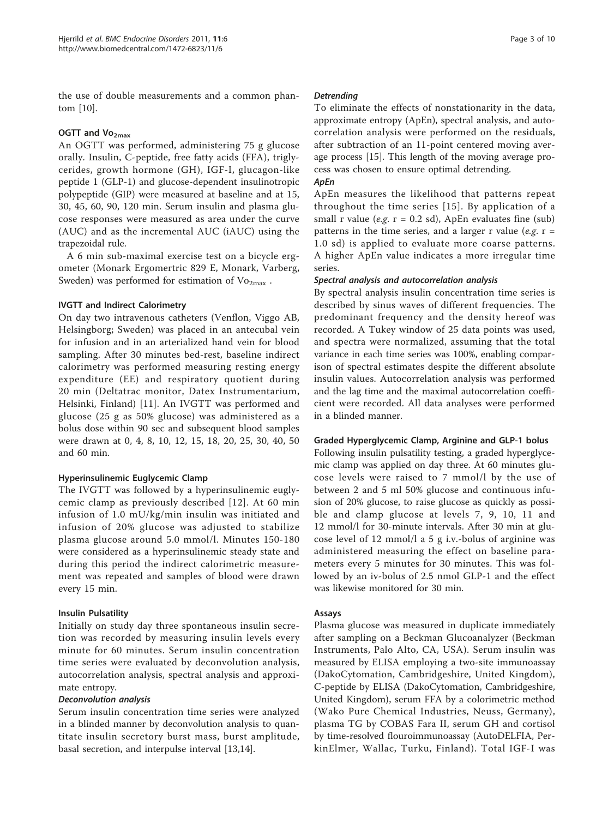the use of double measurements and a common phantom [\[10](#page-8-0)].

#### OGTT and  $Vo_{2max}$

An OGTT was performed, administering 75 g glucose orally. Insulin, C-peptide, free fatty acids (FFA), triglycerides, growth hormone (GH), IGF-I, glucagon-like peptide 1 (GLP-1) and glucose-dependent insulinotropic polypeptide (GIP) were measured at baseline and at 15, 30, 45, 60, 90, 120 min. Serum insulin and plasma glucose responses were measured as area under the curve (AUC) and as the incremental AUC (iAUC) using the trapezoidal rule.

A 6 min sub-maximal exercise test on a bicycle ergometer (Monark Ergomertric 829 E, Monark, Varberg, Sweden) was performed for estimation of  $Vo_{2max}$ .

#### IVGTT and Indirect Calorimetry

On day two intravenous catheters (Venflon, Viggo AB, Helsingborg; Sweden) was placed in an antecubal vein for infusion and in an arterialized hand vein for blood sampling. After 30 minutes bed-rest, baseline indirect calorimetry was performed measuring resting energy expenditure (EE) and respiratory quotient during 20 min (Deltatrac monitor, Datex Instrumentarium, Helsinki, Finland) [[11](#page-8-0)]. An IVGTT was performed and glucose (25 g as 50% glucose) was administered as a bolus dose within 90 sec and subsequent blood samples were drawn at 0, 4, 8, 10, 12, 15, 18, 20, 25, 30, 40, 50 and 60 min.

## Hyperinsulinemic Euglycemic Clamp

The IVGTT was followed by a hyperinsulinemic euglycemic clamp as previously described [[12\]](#page-8-0). At 60 min infusion of 1.0 mU/kg/min insulin was initiated and infusion of 20% glucose was adjusted to stabilize plasma glucose around 5.0 mmol/l. Minutes 150-180 were considered as a hyperinsulinemic steady state and during this period the indirect calorimetric measurement was repeated and samples of blood were drawn every 15 min.

## Insulin Pulsatility

Initially on study day three spontaneous insulin secretion was recorded by measuring insulin levels every minute for 60 minutes. Serum insulin concentration time series were evaluated by deconvolution analysis, autocorrelation analysis, spectral analysis and approximate entropy.

#### Deconvolution analysis

Serum insulin concentration time series were analyzed in a blinded manner by deconvolution analysis to quantitate insulin secretory burst mass, burst amplitude, basal secretion, and interpulse interval [[13,14](#page-8-0)].

#### Detrending

To eliminate the effects of nonstationarity in the data, approximate entropy (ApEn), spectral analysis, and autocorrelation analysis were performed on the residuals, after subtraction of an 11-point centered moving average process [\[15\]](#page-8-0). This length of the moving average process was chosen to ensure optimal detrending.

## ApEn

ApEn measures the likelihood that patterns repeat throughout the time series [[15\]](#page-8-0). By application of a small r value (e.g.  $r = 0.2$  sd), ApEn evaluates fine (sub) patterns in the time series, and a larger r value (e.g.  $r=$ 1.0 sd) is applied to evaluate more coarse patterns. A higher ApEn value indicates a more irregular time series.

#### Spectral analysis and autocorrelation analysis

By spectral analysis insulin concentration time series is described by sinus waves of different frequencies. The predominant frequency and the density hereof was recorded. A Tukey window of 25 data points was used, and spectra were normalized, assuming that the total variance in each time series was 100%, enabling comparison of spectral estimates despite the different absolute insulin values. Autocorrelation analysis was performed and the lag time and the maximal autocorrelation coefficient were recorded. All data analyses were performed in a blinded manner.

#### Graded Hyperglycemic Clamp, Arginine and GLP-1 bolus

Following insulin pulsatility testing, a graded hyperglycemic clamp was applied on day three. At 60 minutes glucose levels were raised to 7 mmol/l by the use of between 2 and 5 ml 50% glucose and continuous infusion of 20% glucose, to raise glucose as quickly as possible and clamp glucose at levels 7, 9, 10, 11 and 12 mmol/l for 30-minute intervals. After 30 min at glucose level of 12 mmol/l a 5 g i.v.-bolus of arginine was administered measuring the effect on baseline parameters every 5 minutes for 30 minutes. This was followed by an iv-bolus of 2.5 nmol GLP-1 and the effect was likewise monitored for 30 min.

## Assays

Plasma glucose was measured in duplicate immediately after sampling on a Beckman Glucoanalyzer (Beckman Instruments, Palo Alto, CA, USA). Serum insulin was measured by ELISA employing a two-site immunoassay (DakoCytomation, Cambridgeshire, United Kingdom), C-peptide by ELISA (DakoCytomation, Cambridgeshire, United Kingdom), serum FFA by a colorimetric method (Wako Pure Chemical Industries, Neuss, Germany), plasma TG by COBAS Fara II, serum GH and cortisol by time-resolved flouroimmunoassay (AutoDELFIA, PerkinElmer, Wallac, Turku, Finland). Total IGF-I was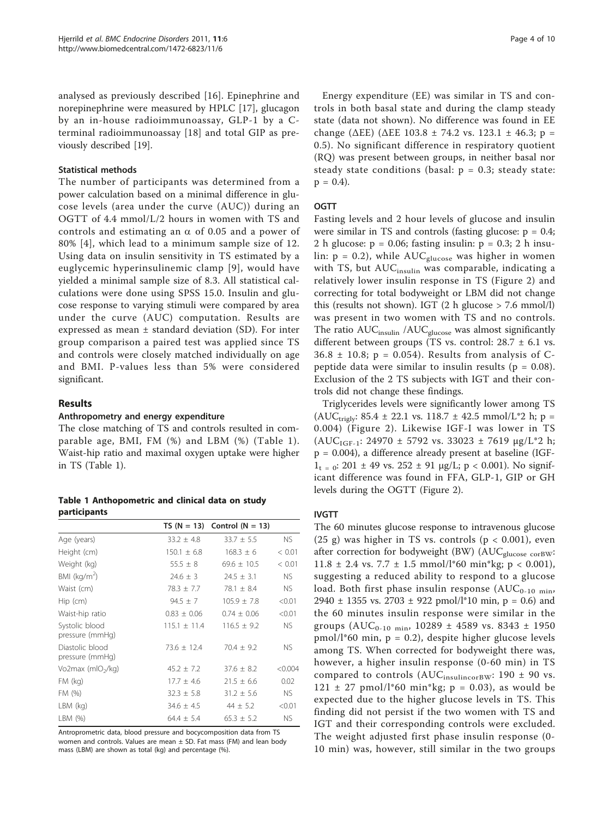analysed as previously described [\[16](#page-8-0)]. Epinephrine and norepinephrine were measured by HPLC [[17\]](#page-8-0), glucagon by an in-house radioimmunoassay, GLP-1 by a Cterminal radioimmunoassay [\[18](#page-8-0)] and total GIP as previously described [[19\]](#page-8-0).

#### Statistical methods

The number of participants was determined from a power calculation based on a minimal difference in glucose levels (area under the curve (AUC)) during an OGTT of 4.4 mmol/L/2 hours in women with TS and controls and estimating an  $\alpha$  of 0.05 and a power of 80% [[4](#page-8-0)], which lead to a minimum sample size of 12. Using data on insulin sensitivity in TS estimated by a euglycemic hyperinsulinemic clamp [[9](#page-8-0)], would have yielded a minimal sample size of 8.3. All statistical calculations were done using SPSS 15.0. Insulin and glucose response to varying stimuli were compared by area under the curve (AUC) computation. Results are expressed as mean ± standard deviation (SD). For inter group comparison a paired test was applied since TS and controls were closely matched individually on age and BMI. P-values less than 5% were considered significant.

## Results

## Anthropometry and energy expenditure

The close matching of TS and controls resulted in comparable age, BMI, FM (%) and LBM (%) (Table 1). Waist-hip ratio and maximal oxygen uptake were higher in TS (Table 1).

Table 1 Anthopometric and clinical data on study participants

|                                    |                 | TS $(N = 13)$ Control $(N = 13)$ |           |
|------------------------------------|-----------------|----------------------------------|-----------|
| Age (years)                        | $33.2 \pm 4.8$  | $33.7 \pm 5.5$                   | NS.       |
| Height (cm)                        | $150.1 \pm 6.8$ | $168.3 \pm 6$                    | < 0.01    |
| Weight (kg)                        | $55.5 + 8$      | $69.6 + 10.5$                    | < 0.01    |
| BMI ( $kg/m2$ )                    | $24.6 \pm 3$    | $74.5 + 3.1$                     | <b>NS</b> |
| Waist (cm)                         | $78.3 \pm 7.7$  | 78.1 $\pm$ 8.4                   | NS.       |
| $Hip$ (cm)                         | $94.5 \pm 7$    | $105.9 \pm 7.8$                  | < 0.01    |
| Waist-hip ratio                    | $0.83 \pm 0.06$ | $0.74 \pm 0.06$                  | < 0.01    |
| Systolic blood<br>pressure (mmHq)  | $115.1 + 11.4$  | $116.5 + 9.2$                    | NS.       |
| Diastolic blood<br>pressure (mmHq) | $73.6 \pm 12.4$ | $70.4 \pm 9.2$                   | <b>NS</b> |
| Vo2max (mlO <sub>2</sub> /kg)      | $45.2 + 7.2$    | $37.6 + 8.2$                     | < 0.004   |
| $FM$ (kg)                          | $17.7 \pm 4.6$  | $21.5 \pm 6.6$                   | 0.02      |
| FM (%)                             | $32.3 \pm 5.8$  | $31.2 \pm 5.6$                   | NS.       |
| $LBM$ (kg)                         | $34.6 \pm 4.5$  | $44 \pm 5.2$                     | < 0.01    |
| LBM (%)                            | $64.4 \pm 5.4$  | $65.3 \pm 5.2$                   | NS.       |

Antroprometric data, blood pressure and bocycomposition data from TS women and controls. Values are mean  $\pm$  SD. Fat mass (FM) and lean body mass (LBM) are shown as total (kg) and percentage (%).

Energy expenditure (EE) was similar in TS and controls in both basal state and during the clamp steady state (data not shown). No difference was found in EE change ( $\triangle EE$ ) ( $\triangle EE$  103.8 ± 74.2 vs. 123.1 ± 46.3; p = 0.5). No significant difference in respiratory quotient (RQ) was present between groups, in neither basal nor steady state conditions (basal:  $p = 0.3$ ; steady state:  $p = 0.4$ ).

#### **OGTT**

Fasting levels and 2 hour levels of glucose and insulin were similar in TS and controls (fasting glucose:  $p = 0.4$ ; 2 h glucose:  $p = 0.06$ ; fasting insulin:  $p = 0.3$ ; 2 h insulin:  $p = 0.2$ ), while  $AUC_{glucose}$  was higher in women with TS, but  $AUC<sub>insulin</sub>$  was comparable, indicating a relatively lower insulin response in TS (Figure [2](#page-4-0)) and correcting for total bodyweight or LBM did not change this (results not shown). IGT  $(2 h$  glucose > 7.6 mmol/l) was present in two women with TS and no controls. The ratio AUC<sub>insulin</sub> /AUC<sub>glucose</sub> was almost significantly different between groups (TS vs. control:  $28.7 \pm 6.1$  vs.  $36.8 \pm 10.8$ ; p = 0.054). Results from analysis of Cpeptide data were similar to insulin results ( $p = 0.08$ ). Exclusion of the 2 TS subjects with IGT and their controls did not change these findings.

Triglycerides levels were significantly lower among TS  $(AUC<sub>trigly</sub>: 85.4 ± 22.1 vs. 118.7 ± 42.5 mmol/L*2 h; p =$ 0.004) (Figure [2](#page-4-0)). Likewise IGF-I was lower in TS  $(AUC<sub>IGF-1</sub>: 24970 \pm 5792 \text{ vs. } 33023 \pm 7619 \text{ µg/L*2 h};$ p = 0.004), a difference already present at baseline (IGF- $1_{t=0}$ : 201 ± 49 vs. 252 ± 91  $\mu$ g/L; p < 0.001). No significant difference was found in FFA, GLP-1, GIP or GH levels during the OGTT (Figure [2](#page-4-0)).

## IVGTT

The 60 minutes glucose response to intravenous glucose (25 g) was higher in TS vs. controls ( $p < 0.001$ ), even after correction for bodyweight (BW) (AUC<sub>glucose corBW</sub>: 11.8  $\pm$  2.4 vs. 7.7  $\pm$  1.5 mmol/l\*60 min\*kg; p < 0.001), suggesting a reduced ability to respond to a glucose load. Both first phase insulin response  $(AUC_{0-10 \text{ min}},$ 2940  $\pm$  1355 vs. 2703  $\pm$  922 pmol/l\*10 min, p = 0.6) and the 60 minutes insulin response were similar in the groups (AUC<sub>0-10 min</sub>, 10289  $\pm$  4589 vs. 8343  $\pm$  1950 pmol/l\*60 min, p = 0.2), despite higher glucose levels among TS. When corrected for bodyweight there was, however, a higher insulin response (0-60 min) in TS compared to controls (AUC<sub>insulincorBW</sub>: 190  $\pm$  90 vs.  $121 \pm 27$  pmol/l\*60 min\*kg; p = 0.03), as would be expected due to the higher glucose levels in TS. This finding did not persist if the two women with TS and IGT and their corresponding controls were excluded. The weight adjusted first phase insulin response (0- 10 min) was, however, still similar in the two groups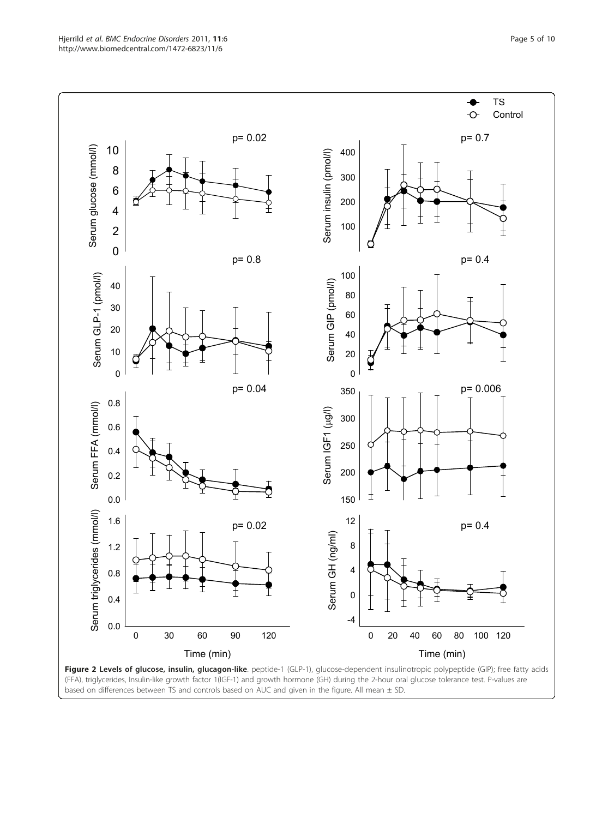<span id="page-4-0"></span>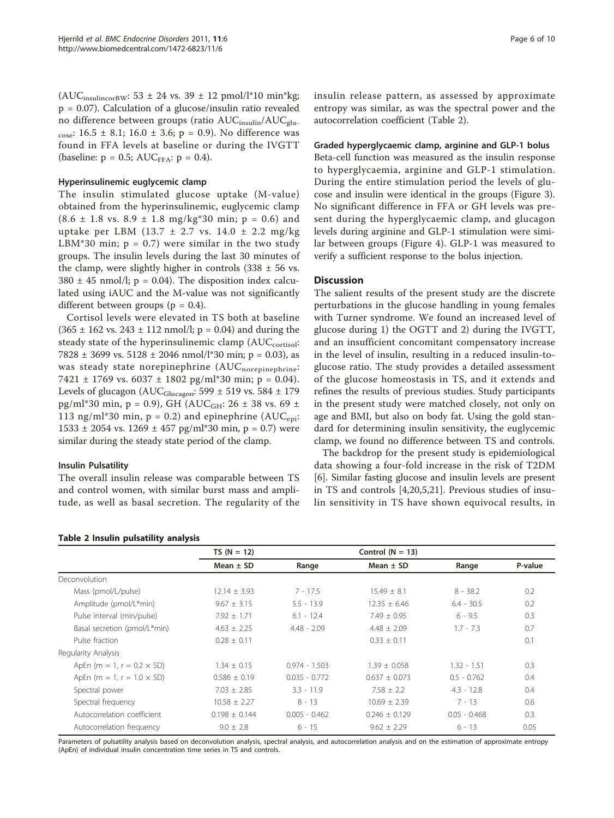$(AUC<sub>insulincorBW</sub>: 53 ± 24 vs. 39 ± 12 pmol/l*10 min*kg;$ p = 0.07). Calculation of a glucose/insulin ratio revealed no difference between groups (ratio AUC<sub>insulin</sub>/AUC<sub>glu-</sub> cose:  $16.5 \pm 8.1$ ;  $16.0 \pm 3.6$ ;  $p = 0.9$ ). No difference was found in FFA levels at baseline or during the IVGTT (baseline:  $p = 0.5$ ; AUC<sub>FFA</sub>:  $p = 0.4$ ).

#### Hyperinsulinemic euglycemic clamp

The insulin stimulated glucose uptake (M-value) obtained from the hyperinsulinemic, euglycemic clamp  $(8.6 \pm 1.8 \text{ vs. } 8.9 \pm 1.8 \text{ mg/kg*30 min}; p = 0.6)$  and uptake per LBM (13.7  $\pm$  2.7 vs. 14.0  $\pm$  2.2 mg/kg LBM\*30 min;  $p = 0.7$ ) were similar in the two study groups. The insulin levels during the last 30 minutes of the clamp, were slightly higher in controls  $(338 \pm 56 \text{ vs.})$  $380 \pm 45$  nmol/l; p = 0.04). The disposition index calculated using iAUC and the M-value was not significantly different between groups ( $p = 0.4$ ).

Cortisol levels were elevated in TS both at baseline  $(365 \pm 162 \text{ vs. } 243 \pm 112 \text{ nmol/}!)$ ; p = 0.04) and during the steady state of the hyperinsulinemic clamp (AUC<sub>cortisol</sub>: 7828  $\pm$  3699 vs. 5128  $\pm$  2046 nmol/l\*30 min; p = 0.03), as was steady state norepinephrine (AUC<sub>norepinephrine</sub>:  $7421 \pm 1769$  vs.  $6037 \pm 1802$  pg/ml\*30 min; p = 0.04). Levels of glucagon (AUC $_{\text{Glucagon}}$ : 599 ± 519 vs. 584 ± 179 pg/ml\*30 min, p = 0.9), GH ( $AUC<sub>GH</sub>: 26 \pm 38$  vs. 69 ± 113 ng/ml\*30 min,  $p = 0.2$ ) and epinephrine (AUC<sub>eni</sub>: 1533 ± 2054 vs. 1269 ± 457 pg/ml\*30 min, p = 0.7) were similar during the steady state period of the clamp.

#### Insulin Pulsatility

The overall insulin release was comparable between TS and control women, with similar burst mass and amplitude, as well as basal secretion. The regularity of the insulin release pattern, as assessed by approximate entropy was similar, as was the spectral power and the autocorrelation coefficient (Table 2).

## Graded hyperglycaemic clamp, arginine and GLP-1 bolus

Beta-cell function was measured as the insulin response to hyperglycaemia, arginine and GLP-1 stimulation. During the entire stimulation period the levels of glucose and insulin were identical in the groups (Figure [3](#page-6-0)). No significant difference in FFA or GH levels was present during the hyperglycaemic clamp, and glucagon levels during arginine and GLP-1 stimulation were similar between groups (Figure [4\)](#page-7-0). GLP-1 was measured to verify a sufficient response to the bolus injection.

#### **Discussion**

The salient results of the present study are the discrete perturbations in the glucose handling in young females with Turner syndrome. We found an increased level of glucose during 1) the OGTT and 2) during the IVGTT, and an insufficient concomitant compensatory increase in the level of insulin, resulting in a reduced insulin-toglucose ratio. The study provides a detailed assessment of the glucose homeostasis in TS, and it extends and refines the results of previous studies. Study participants in the present study were matched closely, not only on age and BMI, but also on body fat. Using the gold standard for determining insulin sensitivity, the euglycemic clamp, we found no difference between TS and controls.

The backdrop for the present study is epidemiological data showing a four-fold increase in the risk of T2DM [[6\]](#page-8-0). Similar fasting glucose and insulin levels are present in TS and controls [\[4](#page-8-0)[,20](#page-9-0)[,5](#page-8-0),[21\]](#page-9-0). Previous studies of insulin sensitivity in TS have shown equivocal results, in

|                                    | $TS (N = 12)$     |                 | Control $(N = 13)$ |                |         |
|------------------------------------|-------------------|-----------------|--------------------|----------------|---------|
|                                    | Mean $\pm$ SD     | Range           | Mean $\pm$ SD      | Range          | P-value |
| Deconvolution                      |                   |                 |                    |                |         |
| Mass (pmol/L/pulse)                | $12.14 \pm 3.93$  | $7 - 17.5$      | $15.49 \pm 8.1$    | $8 - 38.2$     | 0.2     |
| Amplitude (pmol/L*min)             | $9.67 \pm 3.15$   | $5.5 - 13.9$    | $12.35 \pm 6.46$   | $6.4 - 30.5$   | 0.2     |
| Pulse interval (min/pulse)         | $7.92 + 1.71$     | $6.1 - 12.4$    | $7.49 + 0.95$      | $6 - 9.5$      | 0.3     |
| Basal secretion (pmol/L*min)       | $4.63 \pm 2.25$   | $4.48 - 2.09$   | $4.48 \pm 2.09$    | $1.7 - 7.3$    | 0.7     |
| Pulse fraction                     | $0.28 \pm 0.11$   |                 | $0.33 + 0.11$      |                | 0.1     |
| Regularity Analysis                |                   |                 |                    |                |         |
| ApEn (m = 1, r = $0.2 \times SD$ ) | $1.34 \pm 0.15$   | $0.974 - 1.503$ | $1.39 + 0.058$     | $1.32 - 1.51$  | 0.3     |
| ApEn (m = 1, r = $1.0 \times SD$ ) | $0.586 \pm 0.19$  | $0.035 - 0.772$ | $0.637 + 0.073$    | $0.5 - 0.762$  | 0.4     |
| Spectral power                     | $7.03 \pm 2.85$   | $3.3 - 11.9$    | $7.58 \pm 2.2$     | $4.3 - 12.8$   | 0.4     |
| Spectral frequency                 | $10.58 \pm 2.27$  | $8 - 13$        | $10.69 \pm 2.39$   | $7 - 13$       | 0.6     |
| Autocorrelation coefficient        | $0.198 \pm 0.144$ | $0.005 - 0.462$ | $0.246 + 0.129$    | $0.05 - 0.468$ | 0.3     |
| Autocorrelation frequency          | $9.0 \pm 2.8$     | $6 - 15$        | $9.62 \pm 2.29$    | $6 - 13$       | 0.05    |

#### Parameters of pulsatility analysis based on deconvolution analysis, spectral analysis, and autocorrelation analysis and on the estimation of approximate entropy (ApEn) of individual insulin concentration time series in TS and controls.

#### Table 2 Insulin pulsatility analysis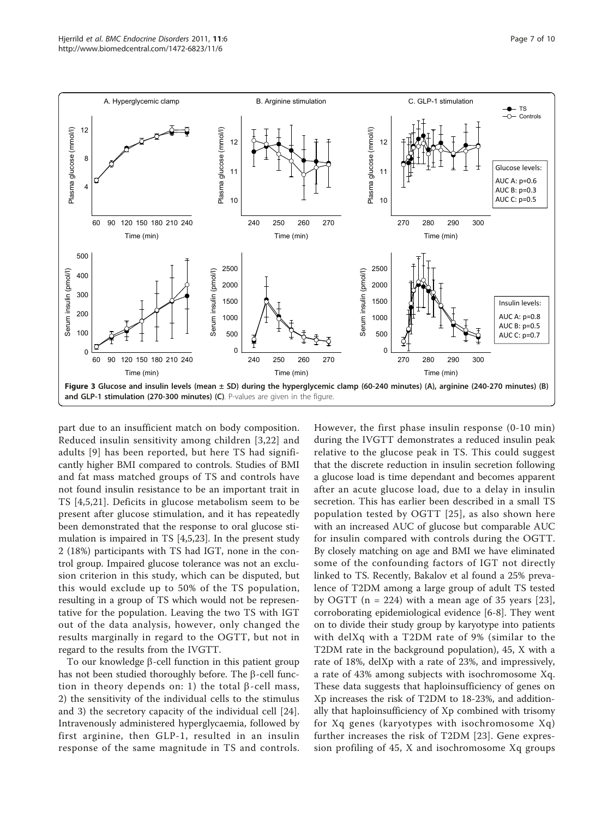<span id="page-6-0"></span>

part due to an insufficient match on body composition. Reduced insulin sensitivity among children [\[3,](#page-8-0)[22](#page-9-0)] and adults [[9\]](#page-8-0) has been reported, but here TS had significantly higher BMI compared to controls. Studies of BMI and fat mass matched groups of TS and controls have not found insulin resistance to be an important trait in TS [\[4](#page-8-0),[5,](#page-8-0)[21](#page-9-0)]. Deficits in glucose metabolism seem to be present after glucose stimulation, and it has repeatedly been demonstrated that the response to oral glucose stimulation is impaired in TS [[4,5,](#page-8-0)[23\]](#page-9-0). In the present study 2 (18%) participants with TS had IGT, none in the control group. Impaired glucose tolerance was not an exclusion criterion in this study, which can be disputed, but this would exclude up to 50% of the TS population, resulting in a group of TS which would not be representative for the population. Leaving the two TS with IGT out of the data analysis, however, only changed the results marginally in regard to the OGTT, but not in regard to the results from the IVGTT.

To our knowledge  $\beta$ -cell function in this patient group has not been studied thoroughly before. The  $\beta$ -cell function in theory depends on: 1) the total  $\beta$ -cell mass, 2) the sensitivity of the individual cells to the stimulus and 3) the secretory capacity of the individual cell [\[24](#page-9-0)]. Intravenously administered hyperglycaemia, followed by first arginine, then GLP-1, resulted in an insulin response of the same magnitude in TS and controls. However, the first phase insulin response (0-10 min) during the IVGTT demonstrates a reduced insulin peak relative to the glucose peak in TS. This could suggest that the discrete reduction in insulin secretion following a glucose load is time dependant and becomes apparent after an acute glucose load, due to a delay in insulin secretion. This has earlier been described in a small TS population tested by OGTT [[25\]](#page-9-0), as also shown here with an increased AUC of glucose but comparable AUC for insulin compared with controls during the OGTT. By closely matching on age and BMI we have eliminated some of the confounding factors of IGT not directly linked to TS. Recently, Bakalov et al found a 25% prevalence of T2DM among a large group of adult TS tested by OGTT ( $n = 224$ ) with a mean age of 35 years [[23\]](#page-9-0), corroborating epidemiological evidence [[6-8](#page-8-0)]. They went on to divide their study group by karyotype into patients with delXq with a T2DM rate of 9% (similar to the T2DM rate in the background population), 45, X with a rate of 18%, delXp with a rate of 23%, and impressively, a rate of 43% among subjects with isochromosome Xq. These data suggests that haploinsufficiency of genes on Xp increases the risk of T2DM to 18-23%, and additionally that haploinsufficiency of Xp combined with trisomy for Xq genes (karyotypes with isochromosome Xq) further increases the risk of T2DM [[23\]](#page-9-0). Gene expression profiling of 45, X and isochromosome Xq groups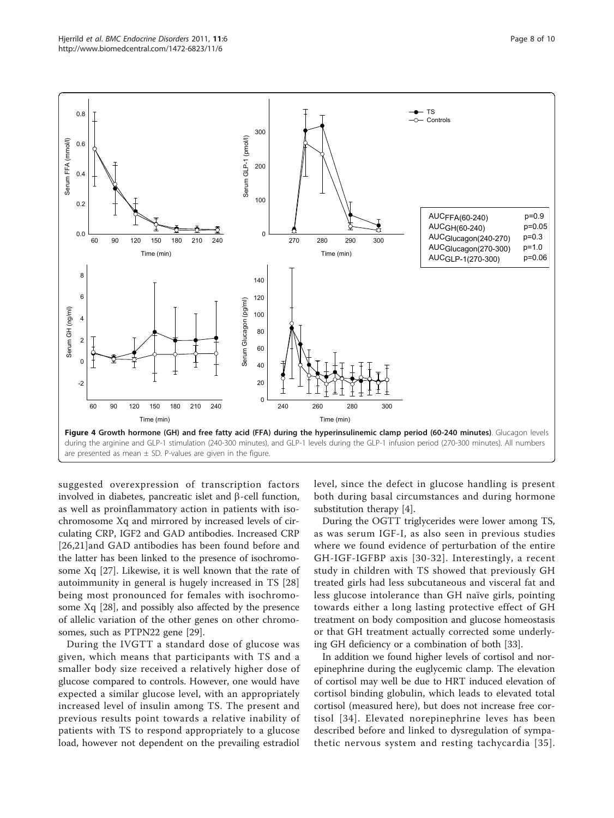<span id="page-7-0"></span>

suggested overexpression of transcription factors involved in diabetes, pancreatic islet and  $\beta$ -cell function, as well as proinflammatory action in patients with isochromosome Xq and mirrored by increased levels of circulating CRP, IGF2 and GAD antibodies. Increased CRP [[26,21](#page-9-0)]and GAD antibodies has been found before and the latter has been linked to the presence of isochromosome Xq [[27\]](#page-9-0). Likewise, it is well known that the rate of autoimmunity in general is hugely increased in TS [\[28](#page-9-0)] being most pronounced for females with isochromosome Xq [[28\]](#page-9-0), and possibly also affected by the presence of allelic variation of the other genes on other chromosomes, such as PTPN22 gene [[29](#page-9-0)].

During the IVGTT a standard dose of glucose was given, which means that participants with TS and a smaller body size received a relatively higher dose of glucose compared to controls. However, one would have expected a similar glucose level, with an appropriately increased level of insulin among TS. The present and previous results point towards a relative inability of patients with TS to respond appropriately to a glucose load, however not dependent on the prevailing estradiol level, since the defect in glucose handling is present both during basal circumstances and during hormone substitution therapy [[4\]](#page-8-0).

During the OGTT triglycerides were lower among TS, as was serum IGF-I, as also seen in previous studies where we found evidence of perturbation of the entire GH-IGF-IGFBP axis [[30](#page-9-0)-[32\]](#page-9-0). Interestingly, a recent study in children with TS showed that previously GH treated girls had less subcutaneous and visceral fat and less glucose intolerance than GH naïve girls, pointing towards either a long lasting protective effect of GH treatment on body composition and glucose homeostasis or that GH treatment actually corrected some underlying GH deficiency or a combination of both [\[33](#page-9-0)].

In addition we found higher levels of cortisol and norepinephrine during the euglycemic clamp. The elevation of cortisol may well be due to HRT induced elevation of cortisol binding globulin, which leads to elevated total cortisol (measured here), but does not increase free cortisol [[34](#page-9-0)]. Elevated norepinephrine leves has been described before and linked to dysregulation of sympathetic nervous system and resting tachycardia [[35\]](#page-9-0).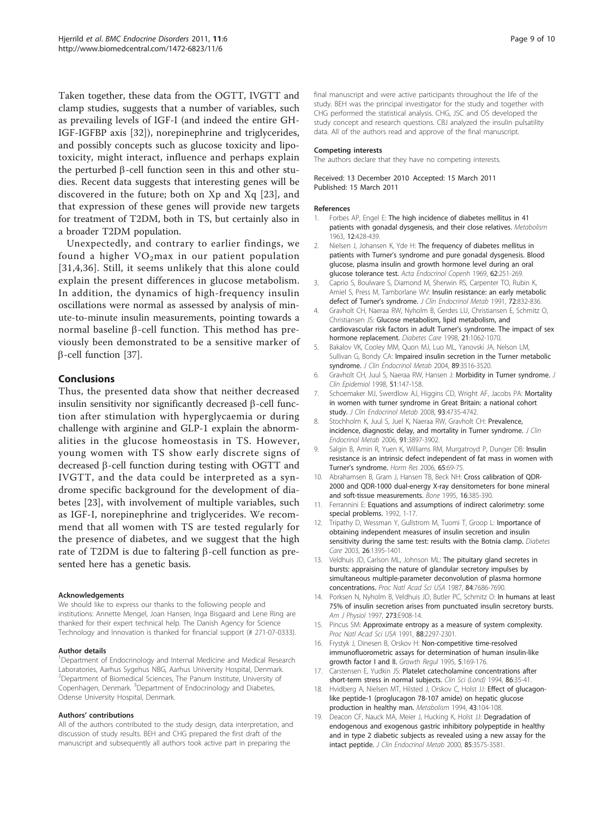<span id="page-8-0"></span>Taken together, these data from the OGTT, IVGTT and clamp studies, suggests that a number of variables, such as prevailing levels of IGF-I (and indeed the entire GH-IGF-IGFBP axis [[32\]](#page-9-0)), norepinephrine and triglycerides, and possibly concepts such as glucose toxicity and lipotoxicity, might interact, influence and perhaps explain the perturbed b-cell function seen in this and other studies. Recent data suggests that interesting genes will be discovered in the future; both on Xp and Xq [[23](#page-9-0)], and that expression of these genes will provide new targets for treatment of T2DM, both in TS, but certainly also in a broader T2DM population.

Unexpectedly, and contrary to earlier findings, we found a higher  $VO<sub>2</sub>max$  in our patient population [[31](#page-9-0),4[,36\]](#page-9-0). Still, it seems unlikely that this alone could explain the present differences in glucose metabolism. In addition, the dynamics of high-frequency insulin oscillations were normal as assessed by analysis of minute-to-minute insulin measurements, pointing towards a normal baseline  $\beta$ -cell function. This method has previously been demonstrated to be a sensitive marker of  $\beta$ -cell function [\[37\]](#page-9-0).

#### Conclusions

Thus, the presented data show that neither decreased insulin sensitivity nor significantly decreased  $\beta$ -cell function after stimulation with hyperglycaemia or during challenge with arginine and GLP-1 explain the abnormalities in the glucose homeostasis in TS. However, young women with TS show early discrete signs of decreased  $\beta$ -cell function during testing with OGTT and IVGTT, and the data could be interpreted as a syndrome specific background for the development of diabetes [[23\]](#page-9-0), with involvement of multiple variables, such as IGF-I, norepinephrine and triglycerides. We recommend that all women with TS are tested regularly for the presence of diabetes, and we suggest that the high rate of T2DM is due to faltering  $\beta$ -cell function as presented here has a genetic basis.

#### Acknowledgements

We should like to express our thanks to the following people and institutions: Annette Mengel, Joan Hansen, Inga Bisgaard and Lene Ring are thanked for their expert technical help. The Danish Agency for Science Technology and Innovation is thanked for financial support (# 271-07-0333).

#### Author details

<sup>1</sup>Department of Endocrinology and Internal Medicine and Medical Research Laboratories, Aarhus Sygehus NBG, Aarhus University Hospital, Denmark. 2 Department of Biomedical Sciences, The Panum Institute, University of Copenhagen, Denmark. <sup>3</sup>Department of Endocrinology and Diabetes, Odense University Hospital, Denmark.

#### Authors' contributions

All of the authors contributed to the study design, data interpretation, and discussion of study results. BEH and CHG prepared the first draft of the manuscript and subsequently all authors took active part in preparing the

final manuscript and were active participants throughout the life of the study. BEH was the principal investigator for the study and together with CHG performed the statistical analysis. CHG, JSC and OS developed the study concept and research questions. CBJ analyzed the insulin pulsatility data. All of the authors read and approve of the final manuscript.

#### Competing interests

The authors declare that they have no competing interests.

#### Received: 13 December 2010 Accepted: 15 March 2011 Published: 15 March 2011

#### References

- 1. Forbes AP, Engel E: [The high incidence of diabetes mellitus in 41](http://www.ncbi.nlm.nih.gov/pubmed/13958676?dopt=Abstract) [patients with gonadal dysgenesis, and their close relatives.](http://www.ncbi.nlm.nih.gov/pubmed/13958676?dopt=Abstract) Metabolism 1963, 12:428-439.
- 2. Nielsen J, Johansen K, Yde H: [The frequency of diabetes mellitus in](http://www.ncbi.nlm.nih.gov/pubmed/5394546?dopt=Abstract) patients with Turner'[s syndrome and pure gonadal dysgenesis. Blood](http://www.ncbi.nlm.nih.gov/pubmed/5394546?dopt=Abstract) [glucose, plasma insulin and growth hormone level during an oral](http://www.ncbi.nlm.nih.gov/pubmed/5394546?dopt=Abstract) [glucose tolerance test.](http://www.ncbi.nlm.nih.gov/pubmed/5394546?dopt=Abstract) Acta Endocrinol Copenh 1969, 62:251-269.
- 3. Caprio S, Boulware S, Diamond M, Sherwin RS, Carpenter TO, Rubin K, Amiel S, Press M, Tamborlane WV: [Insulin resistance: an early metabolic](http://www.ncbi.nlm.nih.gov/pubmed/2005209?dopt=Abstract) [defect of Turner](http://www.ncbi.nlm.nih.gov/pubmed/2005209?dopt=Abstract)'s syndrome. J Clin Endocrinol Metab 1991, 72:832-836.
- 4. Gravholt CH, Naeraa RW, Nyholm B, Gerdes LU, Christiansen E, Schmitz O, Christiansen JS: [Glucose metabolism, lipid metabolism, and](http://www.ncbi.nlm.nih.gov/pubmed/9653596?dopt=Abstract) [cardiovascular risk factors in adult Turner](http://www.ncbi.nlm.nih.gov/pubmed/9653596?dopt=Abstract)'s syndrome. The impact of sex [hormone replacement.](http://www.ncbi.nlm.nih.gov/pubmed/9653596?dopt=Abstract) Diabetes Care 1998, 21:1062-1070.
- 5. Bakalov VK, Cooley MM, Quon MJ, Luo ML, Yanovski JA, Nelson LM, Sullivan G, Bondy CA: [Impaired insulin secretion in the Turner metabolic](http://www.ncbi.nlm.nih.gov/pubmed/15240640?dopt=Abstract) [syndrome.](http://www.ncbi.nlm.nih.gov/pubmed/15240640?dopt=Abstract) J Clin Endocrinol Metab 2004, 89:3516-3520.
- 6. Gravholt CH, Juul S, Naeraa RW, Hansen J: [Morbidity in Turner syndrome.](http://www.ncbi.nlm.nih.gov/pubmed/9474075?dopt=Abstract) J Clin Epidemiol 1998, 51:147-158.
- 7. Schoemaker MJ, Swerdlow AJ, Higgins CD, Wright AF, Jacobs PA: [Mortality](http://www.ncbi.nlm.nih.gov/pubmed/18812477?dopt=Abstract) [in women with turner syndrome in Great Britain: a national cohort](http://www.ncbi.nlm.nih.gov/pubmed/18812477?dopt=Abstract) [study.](http://www.ncbi.nlm.nih.gov/pubmed/18812477?dopt=Abstract) J Clin Endocrinol Metab 2008, 93:4735-4742.
- 8. Stochholm K, Juul S, Juel K, Naeraa RW, Gravholt CH: [Prevalence,](http://www.ncbi.nlm.nih.gov/pubmed/16849410?dopt=Abstract) [incidence, diagnostic delay, and mortality in Turner syndrome.](http://www.ncbi.nlm.nih.gov/pubmed/16849410?dopt=Abstract) J Clin Endocrinol Metab 2006, 91:3897-3902.
- 9. Salgin B, Amin R, Yuen K, Williams RM, Murgatroyd P, Dunger DB: [Insulin](http://www.ncbi.nlm.nih.gov/pubmed/16407654?dopt=Abstract) [resistance is an intrinsic defect independent of fat mass in women with](http://www.ncbi.nlm.nih.gov/pubmed/16407654?dopt=Abstract) Turner'[s syndrome.](http://www.ncbi.nlm.nih.gov/pubmed/16407654?dopt=Abstract) Horm Res 2006, 65:69-75.
- 10. Abrahamsen B, Gram J, Hansen TB, Beck NH: [Cross calibration of QDR-](http://www.ncbi.nlm.nih.gov/pubmed/7786643?dopt=Abstract)[2000 and QDR-1000 dual-energy X-ray densitometers for bone mineral](http://www.ncbi.nlm.nih.gov/pubmed/7786643?dopt=Abstract) [and soft-tissue measurements.](http://www.ncbi.nlm.nih.gov/pubmed/7786643?dopt=Abstract) Bone 1995, 16:385-390.
- 11. Ferrannini E: Equations and assumptions of indirect calorimetry: some special problems. 1992, 1-17.
- 12. Tripathy D, Wessman Y, Gullstrom M, Tuomi T, Groop L: [Importance of](http://www.ncbi.nlm.nih.gov/pubmed/12716795?dopt=Abstract) [obtaining independent measures of insulin secretion and insulin](http://www.ncbi.nlm.nih.gov/pubmed/12716795?dopt=Abstract) [sensitivity during the same test: results with the Botnia clamp.](http://www.ncbi.nlm.nih.gov/pubmed/12716795?dopt=Abstract) Diabetes Care 2003, 26:1395-1401.
- 13. Veldhuis JD, Carlson ML, Johnson ML: [The pituitary gland secretes in](http://www.ncbi.nlm.nih.gov/pubmed/2823271?dopt=Abstract) [bursts: appraising the nature of glandular secretory impulses by](http://www.ncbi.nlm.nih.gov/pubmed/2823271?dopt=Abstract) [simultaneous multiple-parameter deconvolution of plasma hormone](http://www.ncbi.nlm.nih.gov/pubmed/2823271?dopt=Abstract) [concentrations.](http://www.ncbi.nlm.nih.gov/pubmed/2823271?dopt=Abstract) Proc Natl Acad Sci USA 1987, 84:7686-7690.
- Porksen N, Nyholm B, Veldhuis JD, Butler PC, Schmitz O: [In humans at least](http://www.ncbi.nlm.nih.gov/pubmed/9374676?dopt=Abstract) [75% of insulin secretion arises from punctuated insulin secretory bursts.](http://www.ncbi.nlm.nih.gov/pubmed/9374676?dopt=Abstract) Am J Physiol 1997, 273:E908-14.
- 15. Pincus SM: [Approximate entropy as a measure of system complexity.](http://www.ncbi.nlm.nih.gov/pubmed/11607165?dopt=Abstract) Proc Natl Acad Sci USA 1991, 88:2297-2301.
- 16. Frystyk J, Dinesen B, Orskov H: [Non-competitive time-resolved](http://www.ncbi.nlm.nih.gov/pubmed/8745141?dopt=Abstract) [immunofluorometric assays for determination of human insulin-like](http://www.ncbi.nlm.nih.gov/pubmed/8745141?dopt=Abstract) [growth factor I and II.](http://www.ncbi.nlm.nih.gov/pubmed/8745141?dopt=Abstract) Growth Regul 1995, 5:169-176.
- 17. Carstensen E, Yudkin JS: [Platelet catecholamine concentrations after](http://www.ncbi.nlm.nih.gov/pubmed/8306549?dopt=Abstract) [short-term stress in normal subjects.](http://www.ncbi.nlm.nih.gov/pubmed/8306549?dopt=Abstract) Clin Sci (Lond) 1994, 86:35-41.
- 18. Hvidberg A, Nielsen MT, Hilsted J, Orskov C, Holst JJ: [Effect of glucagon](http://www.ncbi.nlm.nih.gov/pubmed/8289665?dopt=Abstract)[like peptide-1 \(proglucagon 78-107 amide\) on hepatic glucose](http://www.ncbi.nlm.nih.gov/pubmed/8289665?dopt=Abstract) [production in healthy man.](http://www.ncbi.nlm.nih.gov/pubmed/8289665?dopt=Abstract) Metabolism 1994, 43:104-108.
- 19. Deacon CF, Nauck MA, Meier J, Hucking K, Holst JJ: [Degradation of](http://www.ncbi.nlm.nih.gov/pubmed/11061504?dopt=Abstract) [endogenous and exogenous gastric inhibitory polypeptide in healthy](http://www.ncbi.nlm.nih.gov/pubmed/11061504?dopt=Abstract) [and in type 2 diabetic subjects as revealed using a new assay for the](http://www.ncbi.nlm.nih.gov/pubmed/11061504?dopt=Abstract) [intact peptide.](http://www.ncbi.nlm.nih.gov/pubmed/11061504?dopt=Abstract) J Clin Endocrinol Metab 2000, 85:3575-3581.